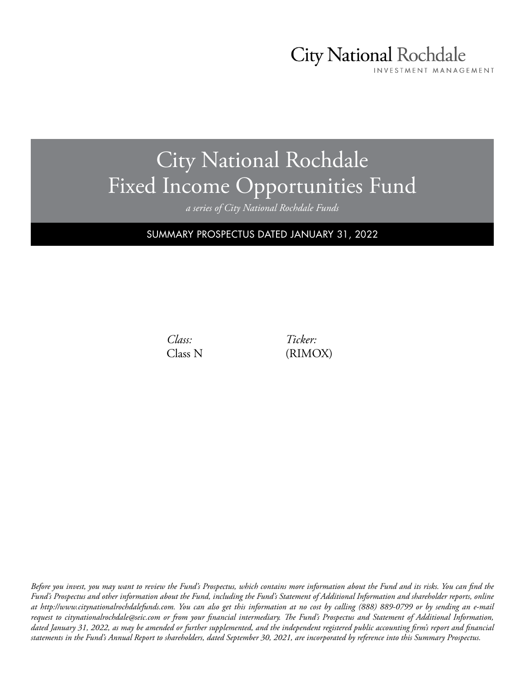## City National Rochdale

INVESTMENT MANAGEMENT

## City National Rochdale Fixed Income Opportunities Fund

*a series of City National Rochdale Funds*

SUMMARY PROSPECTUS DATED JANUARY 31, 2022

*Class:* Class N

*Ticker:* (RIMOX)

*Before you invest, you may want to review the Fund's Prospectus, which contains more information about the Fund and its risks. You can find the Fund's Prospectus and other information about the Fund, including the Fund's Statement of Additional Information and shareholder reports, online at http://www.citynationalrochdalefunds.com. You can also get this information at no cost by calling (888) 889-0799 or by sending an e-mail request to citynationalrochdale@seic.com or from your financial intermediary. The Fund's Prospectus and Statement of Additional Information, dated January 31, 2022, as may be amended or further supplemented, and the independent registered public accounting firm's report and financial statements in the Fund's Annual Report to shareholders, dated September 30, 2021, are incorporated by reference into this Summary Prospectus.*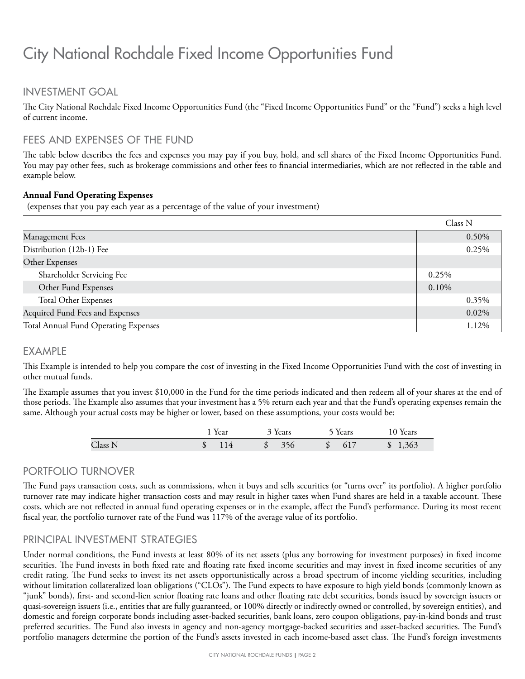### City National Rochdale Fixed Income Opportunities Fund

#### INVESTMENT GOAL

The City National Rochdale Fixed Income Opportunities Fund (the "Fixed Income Opportunities Fund" or the "Fund") seeks a high level of current income.

#### FEES AND EXPENSES OF THE FUND

The table below describes the fees and expenses you may pay if you buy, hold, and sell shares of the Fixed Income Opportunities Fund. You may pay other fees, such as brokerage commissions and other fees to financial intermediaries, which are not reflected in the table and example below.

#### **Annual Fund Operating Expenses**

(expenses that you pay each year as a percentage of the value of your investment)

|                                      | Class N  |
|--------------------------------------|----------|
| Management Fees                      | 0.50%    |
| Distribution (12b-1) Fee             | 0.25%    |
| Other Expenses                       |          |
| Shareholder Servicing Fee            | 0.25%    |
| Other Fund Expenses                  | $0.10\%$ |
| <b>Total Other Expenses</b>          | 0.35%    |
| Acquired Fund Fees and Expenses      | 0.02%    |
| Total Annual Fund Operating Expenses | 1.12%    |

#### EXAMPLE

This Example is intended to help you compare the cost of investing in the Fixed Income Opportunities Fund with the cost of investing in other mutual funds.

The Example assumes that you invest \$10,000 in the Fund for the time periods indicated and then redeem all of your shares at the end of those periods. The Example also assumes that your investment has a 5% return each year and that the Fund's operating expenses remain the same. Although your actual costs may be higher or lower, based on these assumptions, your costs would be:

|         | Year | 3 Years              | Years      | 10 Years |
|---------|------|----------------------|------------|----------|
| Class N |      | 356<br>$\mathcal{S}$ | -617<br>\$ | \$1,363  |

#### PORTFOLIO TURNOVER

The Fund pays transaction costs, such as commissions, when it buys and sells securities (or "turns over" its portfolio). A higher portfolio turnover rate may indicate higher transaction costs and may result in higher taxes when Fund shares are held in a taxable account. These costs, which are not reflected in annual fund operating expenses or in the example, affect the Fund's performance. During its most recent fiscal year, the portfolio turnover rate of the Fund was 117% of the average value of its portfolio.

#### PRINCIPAL INVESTMENT STRATEGIES

Under normal conditions, the Fund invests at least 80% of its net assets (plus any borrowing for investment purposes) in fixed income securities. The Fund invests in both fixed rate and floating rate fixed income securities and may invest in fixed income securities of any credit rating. The Fund seeks to invest its net assets opportunistically across a broad spectrum of income yielding securities, including without limitation collateralized loan obligations ("CLOs"). The Fund expects to have exposure to high yield bonds (commonly known as "junk" bonds), first- and second-lien senior floating rate loans and other floating rate debt securities, bonds issued by sovereign issuers or quasi-sovereign issuers (i.e., entities that are fully guaranteed, or 100% directly or indirectly owned or controlled, by sovereign entities), and domestic and foreign corporate bonds including asset-backed securities, bank loans, zero coupon obligations, pay-in-kind bonds and trust preferred securities. The Fund also invests in agency and non-agency mortgage-backed securities and asset-backed securities. The Fund's portfolio managers determine the portion of the Fund's assets invested in each income-based asset class. The Fund's foreign investments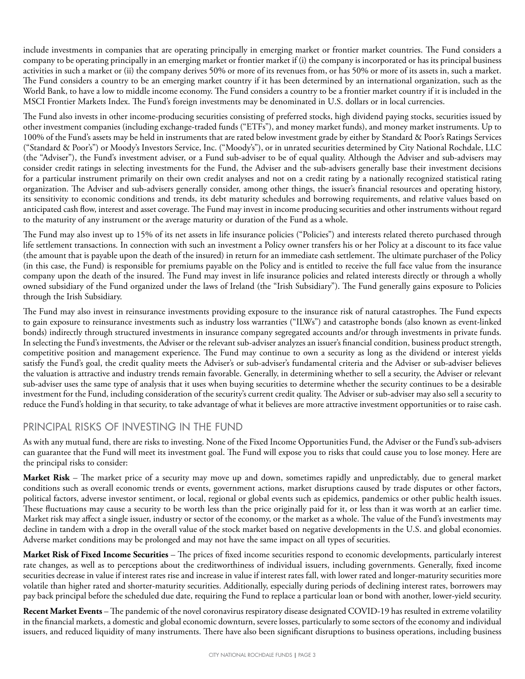include investments in companies that are operating principally in emerging market or frontier market countries. The Fund considers a company to be operating principally in an emerging market or frontier market if (i) the company is incorporated or has its principal business activities in such a market or (ii) the company derives 50% or more of its revenues from, or has 50% or more of its assets in, such a market. The Fund considers a country to be an emerging market country if it has been determined by an international organization, such as the World Bank, to have a low to middle income economy. The Fund considers a country to be a frontier market country if it is included in the MSCI Frontier Markets Index. The Fund's foreign investments may be denominated in U.S. dollars or in local currencies.

The Fund also invests in other income-producing securities consisting of preferred stocks, high dividend paying stocks, securities issued by other investment companies (including exchange-traded funds ("ETFs"), and money market funds), and money market instruments. Up to 100% of the Fund's assets may be held in instruments that are rated below investment grade by either by Standard & Poor's Ratings Services ("Standard & Poor's") or Moody's Investors Service, Inc. ("Moody's"), or in unrated securities determined by City National Rochdale, LLC (the "Adviser"), the Fund's investment adviser, or a Fund sub-adviser to be of equal quality. Although the Adviser and sub-advisers may consider credit ratings in selecting investments for the Fund, the Adviser and the sub-advisers generally base their investment decisions for a particular instrument primarily on their own credit analyses and not on a credit rating by a nationally recognized statistical rating organization. The Adviser and sub-advisers generally consider, among other things, the issuer's financial resources and operating history, its sensitivity to economic conditions and trends, its debt maturity schedules and borrowing requirements, and relative values based on anticipated cash flow, interest and asset coverage. The Fund may invest in income producing securities and other instruments without regard to the maturity of any instrument or the average maturity or duration of the Fund as a whole.

The Fund may also invest up to 15% of its net assets in life insurance policies ("Policies") and interests related thereto purchased through life settlement transactions. In connection with such an investment a Policy owner transfers his or her Policy at a discount to its face value (the amount that is payable upon the death of the insured) in return for an immediate cash settlement. The ultimate purchaser of the Policy (in this case, the Fund) is responsible for premiums payable on the Policy and is entitled to receive the full face value from the insurance company upon the death of the insured. The Fund may invest in life insurance policies and related interests directly or through a wholly owned subsidiary of the Fund organized under the laws of Ireland (the "Irish Subsidiary"). The Fund generally gains exposure to Policies through the Irish Subsidiary.

The Fund may also invest in reinsurance investments providing exposure to the insurance risk of natural catastrophes. The Fund expects to gain exposure to reinsurance investments such as industry loss warranties ("ILWs") and catastrophe bonds (also known as event-linked bonds) indirectly through structured investments in insurance company segregated accounts and/or through investments in private funds. In selecting the Fund's investments, the Adviser or the relevant sub-adviser analyzes an issuer's financial condition, business product strength, competitive position and management experience. The Fund may continue to own a security as long as the dividend or interest yields satisfy the Fund's goal, the credit quality meets the Adviser's or sub-adviser's fundamental criteria and the Adviser or sub-adviser believes the valuation is attractive and industry trends remain favorable. Generally, in determining whether to sell a security, the Adviser or relevant sub-adviser uses the same type of analysis that it uses when buying securities to determine whether the security continues to be a desirable investment for the Fund, including consideration of the security's current credit quality. The Adviser or sub-adviser may also sell a security to reduce the Fund's holding in that security, to take advantage of what it believes are more attractive investment opportunities or to raise cash.

#### PRINCIPAL RISKS OF INVESTING IN THE FUND

As with any mutual fund, there are risks to investing. None of the Fixed Income Opportunities Fund, the Adviser or the Fund's sub-advisers can guarantee that the Fund will meet its investment goal. The Fund will expose you to risks that could cause you to lose money. Here are the principal risks to consider:

**Market Risk** – The market price of a security may move up and down, sometimes rapidly and unpredictably, due to general market conditions such as overall economic trends or events, government actions, market disruptions caused by trade disputes or other factors, political factors, adverse investor sentiment, or local, regional or global events such as epidemics, pandemics or other public health issues. These fluctuations may cause a security to be worth less than the price originally paid for it, or less than it was worth at an earlier time. Market risk may affect a single issuer, industry or sector of the economy, or the market as a whole. The value of the Fund's investments may decline in tandem with a drop in the overall value of the stock market based on negative developments in the U.S. and global economies. Adverse market conditions may be prolonged and may not have the same impact on all types of securities.

**Market Risk of Fixed Income Securities** – The prices of fixed income securities respond to economic developments, particularly interest rate changes, as well as to perceptions about the creditworthiness of individual issuers, including governments. Generally, fixed income securities decrease in value if interest rates rise and increase in value if interest rates fall, with lower rated and longer-maturity securities more volatile than higher rated and shorter-maturity securities. Additionally, especially during periods of declining interest rates, borrowers may pay back principal before the scheduled due date, requiring the Fund to replace a particular loan or bond with another, lower-yield security.

Recent Market Events - The pandemic of the novel coronavirus respiratory disease designated COVID-19 has resulted in extreme volatility in the financial markets, a domestic and global economic downturn, severe losses, particularly to some sectors of the economy and individual issuers, and reduced liquidity of many instruments. There have also been significant disruptions to business operations, including business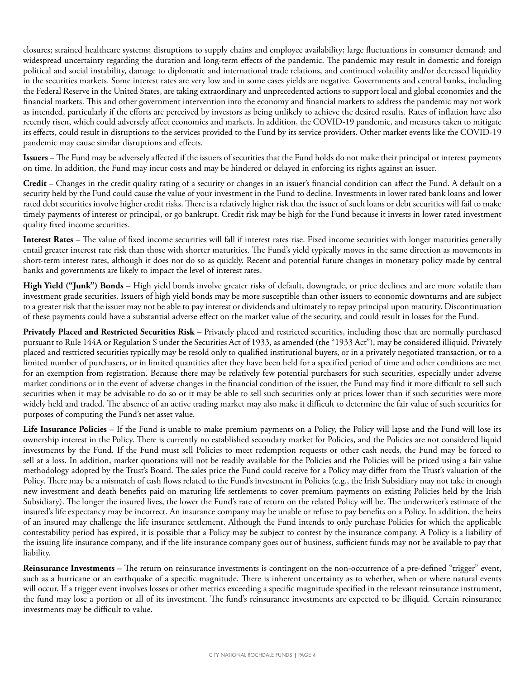closures; strained healthcare systems; disruptions to supply chains and employee availability; large fluctuations in consumer demand; and widespread uncertainty regarding the duration and long-term effects of the pandemic. The pandemic may result in domestic and foreign political and social instability, damage to diplomatic and international trade relations, and continued volatility and/or decreased liquidity in the securities markets. Some interest rates are very low and in some cases yields are negative. Governments and central banks, including the Federal Reserve in the United States, are taking extraordinary and unprecedented actions to support local and global economies and the financial markets. This and other government intervention into the economy and financial markets to address the pandemic may not work as intended, particularly if the efforts are perceived by investors as being unlikely to achieve the desired results. Rates of inflation have also recently risen, which could adversely affect economies and markets. In addition, the COVID-19 pandemic, and measures taken to mitigate its effects, could result in disruptions to the services provided to the Fund by its service providers. Other market events like the COVID-19 pandemic may cause similar disruptions and effects.

**Issuers** – The Fund may be adversely affected if the issuers of securities that the Fund holds do not make their principal or interest payments on time. In addition, the Fund may incur costs and may be hindered or delayed in enforcing its rights against an issuer.

**Credit** – Changes in the credit quality rating of a security or changes in an issuer's financial condition can affect the Fund. A default on a security held by the Fund could cause the value of your investment in the Fund to decline. Investments in lower rated bank loans and lower rated debt securities involve higher credit risks. There is a relatively higher risk that the issuer of such loans or debt securities will fail to make timely payments of interest or principal, or go bankrupt. Credit risk may be high for the Fund because it invests in lower rated investment quality fixed income securities.

**Interest Rates** – The value of fixed income securities will fall if interest rates rise. Fixed income securities with longer maturities generally entail greater interest rate risk than those with shorter maturities. The Fund's yield typically moves in the same direction as movements in short-term interest rates, although it does not do so as quickly. Recent and potential future changes in monetary policy made by central banks and governments are likely to impact the level of interest rates.

**High Yield ("Junk") Bonds** – High yield bonds involve greater risks of default, downgrade, or price declines and are more volatile than investment grade securities. Issuers of high yield bonds may be more susceptible than other issuers to economic downturns and are subject to a greater risk that the issuer may not be able to pay interest or dividends and ultimately to repay principal upon maturity. Discontinuation of these payments could have a substantial adverse effect on the market value of the security, and could result in losses for the Fund.

**Privately Placed and Restricted Securities Risk** – Privately placed and restricted securities, including those that are normally purchased pursuant to Rule 144A or Regulation S under the Securities Act of 1933, as amended (the "1933 Act"), may be considered illiquid. Privately placed and restricted securities typically may be resold only to qualified institutional buyers, or in a privately negotiated transaction, or to a limited number of purchasers, or in limited quantities after they have been held for a specified period of time and other conditions are met for an exemption from registration. Because there may be relatively few potential purchasers for such securities, especially under adverse market conditions or in the event of adverse changes in the financial condition of the issuer, the Fund may find it more difficult to sell such securities when it may be advisable to do so or it may be able to sell such securities only at prices lower than if such securities were more widely held and traded. The absence of an active trading market may also make it difficult to determine the fair value of such securities for purposes of computing the Fund's net asset value.

**Life Insurance Policies** – If the Fund is unable to make premium payments on a Policy, the Policy will lapse and the Fund will lose its ownership interest in the Policy. There is currently no established secondary market for Policies, and the Policies are not considered liquid investments by the Fund. If the Fund must sell Policies to meet redemption requests or other cash needs, the Fund may be forced to sell at a loss. In addition, market quotations will not be readily available for the Policies and the Policies will be priced using a fair value methodology adopted by the Trust's Board. The sales price the Fund could receive for a Policy may differ from the Trust's valuation of the Policy. There may be a mismatch of cash flows related to the Fund's investment in Policies (e.g., the Irish Subsidiary may not take in enough new investment and death benefits paid on maturing life settlements to cover premium payments on existing Policies held by the Irish Subsidiary). The longer the insured lives, the lower the Fund's rate of return on the related Policy will be. The underwriter's estimate of the insured's life expectancy may be incorrect. An insurance company may be unable or refuse to pay benefits on a Policy. In addition, the heirs of an insured may challenge the life insurance settlement. Although the Fund intends to only purchase Policies for which the applicable contestability period has expired, it is possible that a Policy may be subject to contest by the insurance company. A Policy is a liability of the issuing life insurance company, and if the life insurance company goes out of business, sufficient funds may not be available to pay that liability.

**Reinsurance Investments** – The return on reinsurance investments is contingent on the non-occurrence of a pre-defined "trigger" event, such as a hurricane or an earthquake of a specific magnitude. There is inherent uncertainty as to whether, when or where natural events will occur. If a trigger event involves losses or other metrics exceeding a specific magnitude specified in the relevant reinsurance instrument, the fund may lose a portion or all of its investment. The fund's reinsurance investments are expected to be illiquid. Certain reinsurance investments may be difficult to value.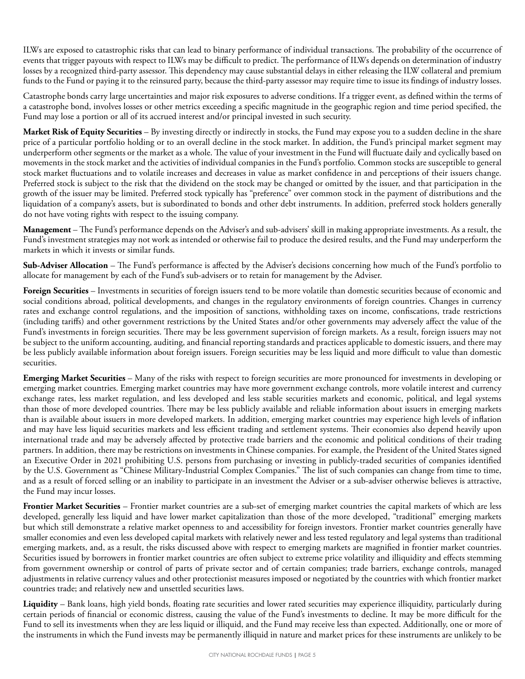ILWs are exposed to catastrophic risks that can lead to binary performance of individual transactions. The probability of the occurrence of events that trigger payouts with respect to ILWs may be difficult to predict. The performance of ILWs depends on determination of industry losses by a recognized third-party assessor. This dependency may cause substantial delays in either releasing the ILW collateral and premium funds to the Fund or paying it to the reinsured party, because the third-party assessor may require time to issue its findings of industry losses.

Catastrophe bonds carry large uncertainties and major risk exposures to adverse conditions. If a trigger event, as defined within the terms of a catastrophe bond, involves losses or other metrics exceeding a specific magnitude in the geographic region and time period specified, the Fund may lose a portion or all of its accrued interest and/or principal invested in such security.

**Market Risk of Equity Securities** – By investing directly or indirectly in stocks, the Fund may expose you to a sudden decline in the share price of a particular portfolio holding or to an overall decline in the stock market. In addition, the Fund's principal market segment may underperform other segments or the market as a whole. The value of your investment in the Fund will fluctuate daily and cyclically based on movements in the stock market and the activities of individual companies in the Fund's portfolio. Common stocks are susceptible to general stock market fluctuations and to volatile increases and decreases in value as market confidence in and perceptions of their issuers change. Preferred stock is subject to the risk that the dividend on the stock may be changed or omitted by the issuer, and that participation in the growth of the issuer may be limited. Preferred stock typically has "preference" over common stock in the payment of distributions and the liquidation of a company's assets, but is subordinated to bonds and other debt instruments. In addition, preferred stock holders generally do not have voting rights with respect to the issuing company.

**Management** – The Fund's performance depends on the Adviser's and sub-advisers' skill in making appropriate investments. As a result, the Fund's investment strategies may not work as intended or otherwise fail to produce the desired results, and the Fund may underperform the markets in which it invests or similar funds.

**Sub-Adviser Allocation** – The Fund's performance is affected by the Adviser's decisions concerning how much of the Fund's portfolio to allocate for management by each of the Fund's sub-advisers or to retain for management by the Adviser.

**Foreign Securities** – Investments in securities of foreign issuers tend to be more volatile than domestic securities because of economic and social conditions abroad, political developments, and changes in the regulatory environments of foreign countries. Changes in currency rates and exchange control regulations, and the imposition of sanctions, withholding taxes on income, confiscations, trade restrictions (including tariffs) and other government restrictions by the United States and/or other governments may adversely affect the value of the Fund's investments in foreign securities. There may be less government supervision of foreign markets. As a result, foreign issuers may not be subject to the uniform accounting, auditing, and financial reporting standards and practices applicable to domestic issuers, and there may be less publicly available information about foreign issuers. Foreign securities may be less liquid and more difficult to value than domestic securities.

**Emerging Market Securities** – Many of the risks with respect to foreign securities are more pronounced for investments in developing or emerging market countries. Emerging market countries may have more government exchange controls, more volatile interest and currency exchange rates, less market regulation, and less developed and less stable securities markets and economic, political, and legal systems than those of more developed countries. There may be less publicly available and reliable information about issuers in emerging markets than is available about issuers in more developed markets. In addition, emerging market countries may experience high levels of inflation and may have less liquid securities markets and less efficient trading and settlement systems. Their economies also depend heavily upon international trade and may be adversely affected by protective trade barriers and the economic and political conditions of their trading partners. In addition, there may be restrictions on investments in Chinese companies. For example, the President of the United States signed an Executive Order in 2021 prohibiting U.S. persons from purchasing or investing in publicly-traded securities of companies identified by the U.S. Government as "Chinese Military-Industrial Complex Companies." The list of such companies can change from time to time, and as a result of forced selling or an inability to participate in an investment the Adviser or a sub-adviser otherwise believes is attractive, the Fund may incur losses.

**Frontier Market Securities** – Frontier market countries are a sub-set of emerging market countries the capital markets of which are less developed, generally less liquid and have lower market capitalization than those of the more developed, "traditional" emerging markets but which still demonstrate a relative market openness to and accessibility for foreign investors. Frontier market countries generally have smaller economies and even less developed capital markets with relatively newer and less tested regulatory and legal systems than traditional emerging markets, and, as a result, the risks discussed above with respect to emerging markets are magnified in frontier market countries. Securities issued by borrowers in frontier market countries are often subject to extreme price volatility and illiquidity and effects stemming from government ownership or control of parts of private sector and of certain companies; trade barriers, exchange controls, managed adjustments in relative currency values and other protectionist measures imposed or negotiated by the countries with which frontier market countries trade; and relatively new and unsettled securities laws.

**Liquidity** – Bank loans, high yield bonds, floating rate securities and lower rated securities may experience illiquidity, particularly during certain periods of financial or economic distress, causing the value of the Fund's investments to decline. It may be more difficult for the Fund to sell its investments when they are less liquid or illiquid, and the Fund may receive less than expected. Additionally, one or more of the instruments in which the Fund invests may be permanently illiquid in nature and market prices for these instruments are unlikely to be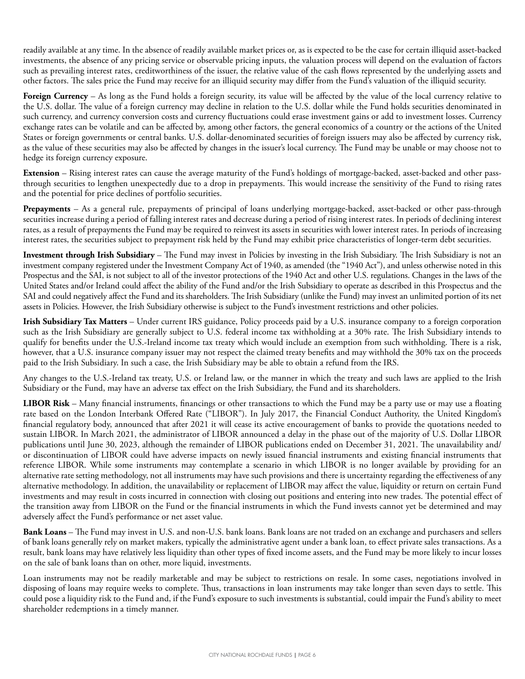readily available at any time. In the absence of readily available market prices or, as is expected to be the case for certain illiquid asset-backed investments, the absence of any pricing service or observable pricing inputs, the valuation process will depend on the evaluation of factors such as prevailing interest rates, creditworthiness of the issuer, the relative value of the cash flows represented by the underlying assets and other factors. The sales price the Fund may receive for an illiquid security may differ from the Fund's valuation of the illiquid security.

**Foreign Currency** – As long as the Fund holds a foreign security, its value will be affected by the value of the local currency relative to the U.S. dollar. The value of a foreign currency may decline in relation to the U.S. dollar while the Fund holds securities denominated in such currency, and currency conversion costs and currency fluctuations could erase investment gains or add to investment losses. Currency exchange rates can be volatile and can be affected by, among other factors, the general economics of a country or the actions of the United States or foreign governments or central banks. U.S. dollar-denominated securities of foreign issuers may also be affected by currency risk, as the value of these securities may also be affected by changes in the issuer's local currency. The Fund may be unable or may choose not to hedge its foreign currency exposure.

**Extension** – Rising interest rates can cause the average maturity of the Fund's holdings of mortgage-backed, asset-backed and other passthrough securities to lengthen unexpectedly due to a drop in prepayments. This would increase the sensitivity of the Fund to rising rates and the potential for price declines of portfolio securities.

**Prepayments** – As a general rule, prepayments of principal of loans underlying mortgage-backed, asset-backed or other pass-through securities increase during a period of falling interest rates and decrease during a period of rising interest rates. In periods of declining interest rates, as a result of prepayments the Fund may be required to reinvest its assets in securities with lower interest rates. In periods of increasing interest rates, the securities subject to prepayment risk held by the Fund may exhibit price characteristics of longer-term debt securities.

**Investment through Irish Subsidiary** – The Fund may invest in Policies by investing in the Irish Subsidiary. The Irish Subsidiary is not an investment company registered under the Investment Company Act of 1940, as amended (the "1940 Act"), and unless otherwise noted in this Prospectus and the SAI, is not subject to all of the investor protections of the 1940 Act and other U.S. regulations. Changes in the laws of the United States and/or Ireland could affect the ability of the Fund and/or the Irish Subsidiary to operate as described in this Prospectus and the SAI and could negatively affect the Fund and its shareholders. The Irish Subsidiary (unlike the Fund) may invest an unlimited portion of its net assets in Policies. However, the Irish Subsidiary otherwise is subject to the Fund's investment restrictions and other policies.

**Irish Subsidiary Tax Matters** – Under current IRS guidance, Policy proceeds paid by a U.S. insurance company to a foreign corporation such as the Irish Subsidiary are generally subject to U.S. federal income tax withholding at a 30% rate. The Irish Subsidiary intends to qualify for benefits under the U.S.-Ireland income tax treaty which would include an exemption from such withholding. There is a risk, however, that a U.S. insurance company issuer may not respect the claimed treaty benefits and may withhold the 30% tax on the proceeds paid to the Irish Subsidiary. In such a case, the Irish Subsidiary may be able to obtain a refund from the IRS.

Any changes to the U.S.-Ireland tax treaty, U.S. or Ireland law, or the manner in which the treaty and such laws are applied to the Irish Subsidiary or the Fund, may have an adverse tax effect on the Irish Subsidiary, the Fund and its shareholders.

**LIBOR Risk** – Many financial instruments, financings or other transactions to which the Fund may be a party use or may use a floating rate based on the London Interbank Offered Rate ("LIBOR"). In July 2017, the Financial Conduct Authority, the United Kingdom's financial regulatory body, announced that after 2021 it will cease its active encouragement of banks to provide the quotations needed to sustain LIBOR. In March 2021, the administrator of LIBOR announced a delay in the phase out of the majority of U.S. Dollar LIBOR publications until June 30, 2023, although the remainder of LIBOR publications ended on December 31, 2021. The unavailability and/ or discontinuation of LIBOR could have adverse impacts on newly issued financial instruments and existing financial instruments that reference LIBOR. While some instruments may contemplate a scenario in which LIBOR is no longer available by providing for an alternative rate setting methodology, not all instruments may have such provisions and there is uncertainty regarding the effectiveness of any alternative methodology. In addition, the unavailability or replacement of LIBOR may affect the value, liquidity or return on certain Fund investments and may result in costs incurred in connection with closing out positions and entering into new trades. The potential effect of the transition away from LIBOR on the Fund or the financial instruments in which the Fund invests cannot yet be determined and may adversely affect the Fund's performance or net asset value.

**Bank Loans** – The Fund may invest in U.S. and non-U.S. bank loans. Bank loans are not traded on an exchange and purchasers and sellers of bank loans generally rely on market makers, typically the administrative agent under a bank loan, to effect private sales transactions. As a result, bank loans may have relatively less liquidity than other types of fixed income assets, and the Fund may be more likely to incur losses on the sale of bank loans than on other, more liquid, investments.

Loan instruments may not be readily marketable and may be subject to restrictions on resale. In some cases, negotiations involved in disposing of loans may require weeks to complete. Thus, transactions in loan instruments may take longer than seven days to settle. This could pose a liquidity risk to the Fund and, if the Fund's exposure to such investments is substantial, could impair the Fund's ability to meet shareholder redemptions in a timely manner.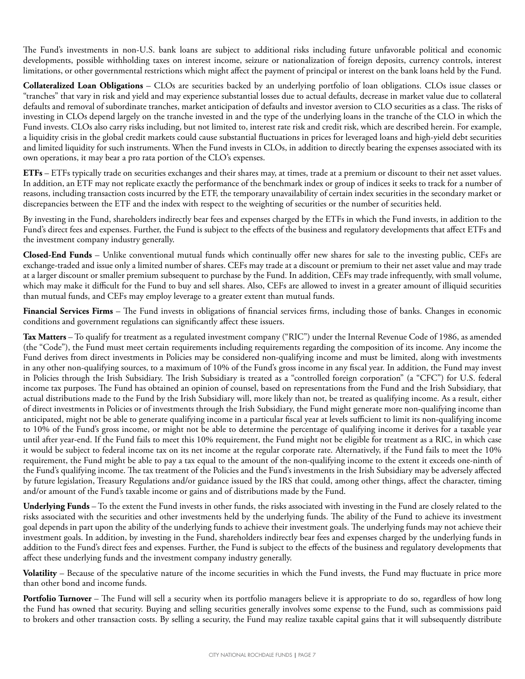The Fund's investments in non-U.S. bank loans are subject to additional risks including future unfavorable political and economic developments, possible withholding taxes on interest income, seizure or nationalization of foreign deposits, currency controls, interest limitations, or other governmental restrictions which might affect the payment of principal or interest on the bank loans held by the Fund.

**Collateralized Loan Obligations** – CLOs are securities backed by an underlying portfolio of loan obligations. CLOs issue classes or "tranches" that vary in risk and yield and may experience substantial losses due to actual defaults, decrease in market value due to collateral defaults and removal of subordinate tranches, market anticipation of defaults and investor aversion to CLO securities as a class. The risks of investing in CLOs depend largely on the tranche invested in and the type of the underlying loans in the tranche of the CLO in which the Fund invests. CLOs also carry risks including, but not limited to, interest rate risk and credit risk, which are described herein. For example, a liquidity crisis in the global credit markets could cause substantial fluctuations in prices for leveraged loans and high-yield debt securities and limited liquidity for such instruments. When the Fund invests in CLOs, in addition to directly bearing the expenses associated with its own operations, it may bear a pro rata portion of the CLO's expenses.

**ETFs** – ETFs typically trade on securities exchanges and their shares may, at times, trade at a premium or discount to their net asset values. In addition, an ETF may not replicate exactly the performance of the benchmark index or group of indices it seeks to track for a number of reasons, including transaction costs incurred by the ETF, the temporary unavailability of certain index securities in the secondary market or discrepancies between the ETF and the index with respect to the weighting of securities or the number of securities held.

By investing in the Fund, shareholders indirectly bear fees and expenses charged by the ETFs in which the Fund invests, in addition to the Fund's direct fees and expenses. Further, the Fund is subject to the effects of the business and regulatory developments that affect ETFs and the investment company industry generally.

**Closed-End Funds** – Unlike conventional mutual funds which continually offer new shares for sale to the investing public, CEFs are exchange-traded and issue only a limited number of shares. CEFs may trade at a discount or premium to their net asset value and may trade at a larger discount or smaller premium subsequent to purchase by the Fund. In addition, CEFs may trade infrequently, with small volume, which may make it difficult for the Fund to buy and sell shares. Also, CEFs are allowed to invest in a greater amount of illiquid securities than mutual funds, and CEFs may employ leverage to a greater extent than mutual funds.

**Financial Services Firms** – The Fund invests in obligations of financial services firms, including those of banks. Changes in economic conditions and government regulations can significantly affect these issuers.

**Tax Matters** – To qualify for treatment as a regulated investment company ("RIC") under the Internal Revenue Code of 1986, as amended (the "Code"), the Fund must meet certain requirements including requirements regarding the composition of its income. Any income the Fund derives from direct investments in Policies may be considered non-qualifying income and must be limited, along with investments in any other non-qualifying sources, to a maximum of 10% of the Fund's gross income in any fiscal year. In addition, the Fund may invest in Policies through the Irish Subsidiary. The Irish Subsidiary is treated as a "controlled foreign corporation" (a "CFC") for U.S. federal income tax purposes. The Fund has obtained an opinion of counsel, based on representations from the Fund and the Irish Subsidiary, that actual distributions made to the Fund by the Irish Subsidiary will, more likely than not, be treated as qualifying income. As a result, either of direct investments in Policies or of investments through the Irish Subsidiary, the Fund might generate more non-qualifying income than anticipated, might not be able to generate qualifying income in a particular fiscal year at levels sufficient to limit its non-qualifying income to 10% of the Fund's gross income, or might not be able to determine the percentage of qualifying income it derives for a taxable year until after year-end. If the Fund fails to meet this 10% requirement, the Fund might not be eligible for treatment as a RIC, in which case it would be subject to federal income tax on its net income at the regular corporate rate. Alternatively, if the Fund fails to meet the 10% requirement, the Fund might be able to pay a tax equal to the amount of the non-qualifying income to the extent it exceeds one-ninth of the Fund's qualifying income. The tax treatment of the Policies and the Fund's investments in the Irish Subsidiary may be adversely affected by future legislation, Treasury Regulations and/or guidance issued by the IRS that could, among other things, affect the character, timing and/or amount of the Fund's taxable income or gains and of distributions made by the Fund.

**Underlying Funds** – To the extent the Fund invests in other funds, the risks associated with investing in the Fund are closely related to the risks associated with the securities and other investments held by the underlying funds. The ability of the Fund to achieve its investment goal depends in part upon the ability of the underlying funds to achieve their investment goals. The underlying funds may not achieve their investment goals. In addition, by investing in the Fund, shareholders indirectly bear fees and expenses charged by the underlying funds in addition to the Fund's direct fees and expenses. Further, the Fund is subject to the effects of the business and regulatory developments that affect these underlying funds and the investment company industry generally.

**Volatility** – Because of the speculative nature of the income securities in which the Fund invests, the Fund may fluctuate in price more than other bond and income funds.

Portfolio Turnover - The Fund will sell a security when its portfolio managers believe it is appropriate to do so, regardless of how long the Fund has owned that security. Buying and selling securities generally involves some expense to the Fund, such as commissions paid to brokers and other transaction costs. By selling a security, the Fund may realize taxable capital gains that it will subsequently distribute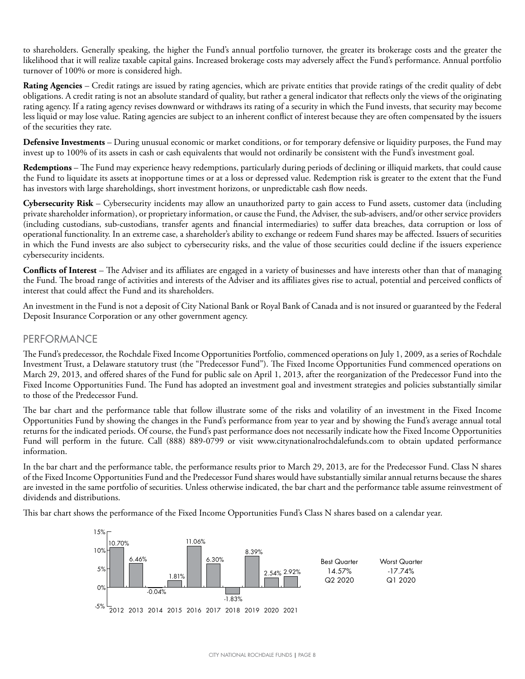to shareholders. Generally speaking, the higher the Fund's annual portfolio turnover, the greater its brokerage costs and the greater the likelihood that it will realize taxable capital gains. Increased brokerage costs may adversely affect the Fund's performance. Annual portfolio turnover of 100% or more is considered high.

**Rating Agencies** – Credit ratings are issued by rating agencies, which are private entities that provide ratings of the credit quality of debt obligations. A credit rating is not an absolute standard of quality, but rather a general indicator that reflects only the views of the originating rating agency. If a rating agency revises downward or withdraws its rating of a security in which the Fund invests, that security may become less liquid or may lose value. Rating agencies are subject to an inherent conflict of interest because they are often compensated by the issuers of the securities they rate.

**Defensive Investments** – During unusual economic or market conditions, or for temporary defensive or liquidity purposes, the Fund may invest up to 100% of its assets in cash or cash equivalents that would not ordinarily be consistent with the Fund's investment goal.

**Redemptions** – The Fund may experience heavy redemptions, particularly during periods of declining or illiquid markets, that could cause the Fund to liquidate its assets at inopportune times or at a loss or depressed value. Redemption risk is greater to the extent that the Fund has investors with large shareholdings, short investment horizons, or unpredictable cash flow needs.

**Cybersecurity Risk** – Cybersecurity incidents may allow an unauthorized party to gain access to Fund assets, customer data (including private shareholder information), or proprietary information, or cause the Fund, the Adviser, the sub-advisers, and/or other service providers (including custodians, sub-custodians, transfer agents and financial intermediaries) to suffer data breaches, data corruption or loss of operational functionality. In an extreme case, a shareholder's ability to exchange or redeem Fund shares may be affected. Issuers of securities in which the Fund invests are also subject to cybersecurity risks, and the value of those securities could decline if the issuers experience cybersecurity incidents.

**Conflicts of Interest** – The Adviser and its affiliates are engaged in a variety of businesses and have interests other than that of managing the Fund. The broad range of activities and interests of the Adviser and its affiliates gives rise to actual, potential and perceived conflicts of interest that could affect the Fund and its shareholders.

An investment in the Fund is not a deposit of City National Bank or Royal Bank of Canada and is not insured or guaranteed by the Federal Deposit Insurance Corporation or any other government agency.

#### **PERFORMANCE**

The Fund's predecessor, the Rochdale Fixed Income Opportunities Portfolio, commenced operations on July 1, 2009, as a series of Rochdale Investment Trust, a Delaware statutory trust (the "Predecessor Fund"). The Fixed Income Opportunities Fund commenced operations on March 29, 2013, and offered shares of the Fund for public sale on April 1, 2013, after the reorganization of the Predecessor Fund into the Fixed Income Opportunities Fund. The Fund has adopted an investment goal and investment strategies and policies substantially similar to those of the Predecessor Fund.

The bar chart and the performance table that follow illustrate some of the risks and volatility of an investment in the Fixed Income Opportunities Fund by showing the changes in the Fund's performance from year to year and by showing the Fund's average annual total returns for the indicated periods. Of course, the Fund's past performance does not necessarily indicate how the Fixed Income Opportunities Fund will perform in the future. Call (888) 889-0799 or visit www.citynationalrochdalefunds.com to obtain updated performance information.

In the bar chart and the performance table, the performance results prior to March 29, 2013, are for the Predecessor Fund. Class N shares of the Fixed Income Opportunities Fund and the Predecessor Fund shares would have substantially similar annual returns because the shares are invested in the same portfolio of securities. Unless otherwise indicated, the bar chart and the performance table assume reinvestment of dividends and distributions.

This bar chart shows the performance of the Fixed Income Opportunities Fund's Class N shares based on a calendar year.

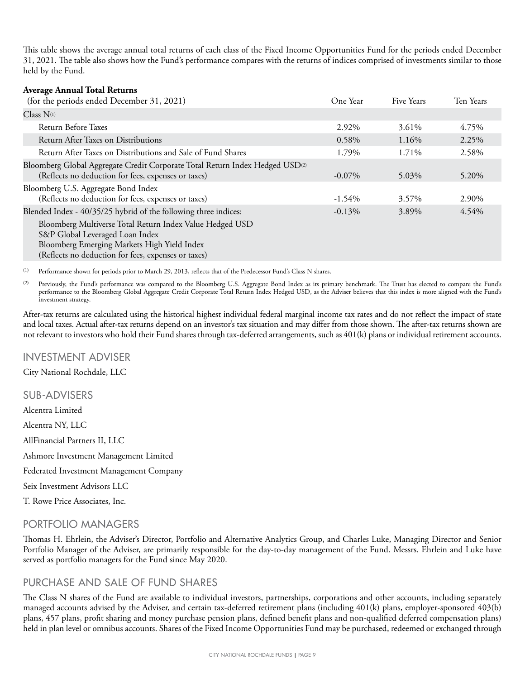This table shows the average annual total returns of each class of the Fixed Income Opportunities Fund for the periods ended December 31, 2021. The table also shows how the Fund's performance compares with the returns of indices comprised of investments similar to those held by the Fund.

#### **Average Annual Total Returns**

| (for the periods ended December 31, 2021)                                                                                                                                                         | One Year  | Five Years | Ten Years |
|---------------------------------------------------------------------------------------------------------------------------------------------------------------------------------------------------|-----------|------------|-----------|
| $Class N^{(1)}$                                                                                                                                                                                   |           |            |           |
| Return Before Taxes                                                                                                                                                                               | 2.92%     | 3.61%      | 4.75%     |
| Return After Taxes on Distributions                                                                                                                                                               | 0.58%     | 1.16%      | 2.25%     |
| Return After Taxes on Distributions and Sale of Fund Shares                                                                                                                                       | 1.79%     | 1.71%      | 2.58%     |
| Bloomberg Global Aggregate Credit Corporate Total Return Index Hedged USD <sup>(2)</sup><br>(Reflects no deduction for fees, expenses or taxes)                                                   | $-0.07\%$ | 5.03%      | 5.20%     |
| Bloomberg U.S. Aggregate Bond Index<br>(Reflects no deduction for fees, expenses or taxes)                                                                                                        | $-1.54%$  | 3.57%      | 2.90%     |
| Blended Index - 40/35/25 hybrid of the following three indices:                                                                                                                                   | $-0.13\%$ | 3.89%      | 4.54%     |
| Bloomberg Multiverse Total Return Index Value Hedged USD<br>S&P Global Leveraged Loan Index<br>Bloomberg Emerging Markets High Yield Index<br>(Reflects no deduction for fees, expenses or taxes) |           |            |           |

(1) Performance shown for periods prior to March 29, 2013, reflects that of the Predecessor Fund's Class N shares.

(2) Previously, the Fund's performance was compared to the Bloomberg U.S. Aggregate Bond Index as its primary benchmark. The Trust has elected to compare the Fund's performance to the Bloomberg Global Aggregate Credit Corporate Total Return Index Hedged USD, as the Adviser believes that this index is more aligned with the Fund's investment strategy.

After-tax returns are calculated using the historical highest individual federal marginal income tax rates and do not reflect the impact of state and local taxes. Actual after-tax returns depend on an investor's tax situation and may differ from those shown. The after-tax returns shown are not relevant to investors who hold their Fund shares through tax-deferred arrangements, such as 401(k) plans or individual retirement accounts.

#### INVESTMENT ADVISER

City National Rochdale, LLC

#### SUB-ADVISERS

Alcentra Limited

Alcentra NY, LLC

AllFinancial Partners II, LLC

Ashmore Investment Management Limited

Federated Investment Management Company

Seix Investment Advisors LLC

T. Rowe Price Associates, Inc.

#### PORTFOLIO MANAGERS

Thomas H. Ehrlein, the Adviser's Director, Portfolio and Alternative Analytics Group, and Charles Luke, Managing Director and Senior Portfolio Manager of the Adviser, are primarily responsible for the day-to-day management of the Fund. Messrs. Ehrlein and Luke have served as portfolio managers for the Fund since May 2020.

#### PURCHASE AND SALE OF FUND SHARES

The Class N shares of the Fund are available to individual investors, partnerships, corporations and other accounts, including separately managed accounts advised by the Adviser, and certain tax-deferred retirement plans (including 401(k) plans, employer-sponsored 403(b) plans, 457 plans, profit sharing and money purchase pension plans, defined benefit plans and non-qualified deferred compensation plans) held in plan level or omnibus accounts. Shares of the Fixed Income Opportunities Fund may be purchased, redeemed or exchanged through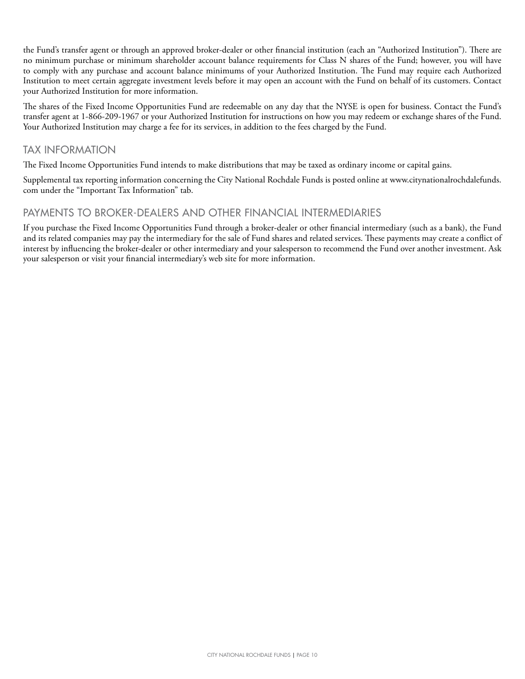the Fund's transfer agent or through an approved broker-dealer or other financial institution (each an "Authorized Institution"). There are no minimum purchase or minimum shareholder account balance requirements for Class N shares of the Fund; however, you will have to comply with any purchase and account balance minimums of your Authorized Institution. The Fund may require each Authorized Institution to meet certain aggregate investment levels before it may open an account with the Fund on behalf of its customers. Contact your Authorized Institution for more information.

The shares of the Fixed Income Opportunities Fund are redeemable on any day that the NYSE is open for business. Contact the Fund's transfer agent at 1-866-209-1967 or your Authorized Institution for instructions on how you may redeem or exchange shares of the Fund. Your Authorized Institution may charge a fee for its services, in addition to the fees charged by the Fund.

#### TAX INFORMATION

The Fixed Income Opportunities Fund intends to make distributions that may be taxed as ordinary income or capital gains.

Supplemental tax reporting information concerning the City National Rochdale Funds is posted online at www.citynationalrochdalefunds. com under the "Important Tax Information" tab.

#### PAYMENTS TO BROKER-DEALERS AND OTHER FINANCIAL INTERMEDIARIES

If you purchase the Fixed Income Opportunities Fund through a broker-dealer or other financial intermediary (such as a bank), the Fund and its related companies may pay the intermediary for the sale of Fund shares and related services. These payments may create a conflict of interest by influencing the broker-dealer or other intermediary and your salesperson to recommend the Fund over another investment. Ask your salesperson or visit your financial intermediary's web site for more information.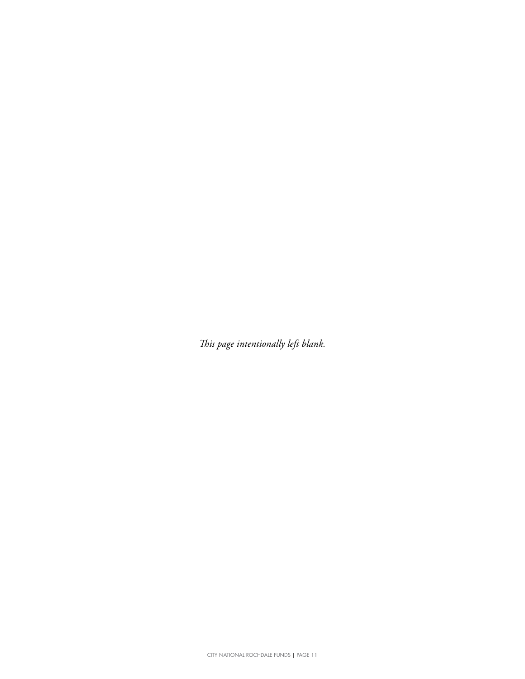*This page intentionally left blank.*